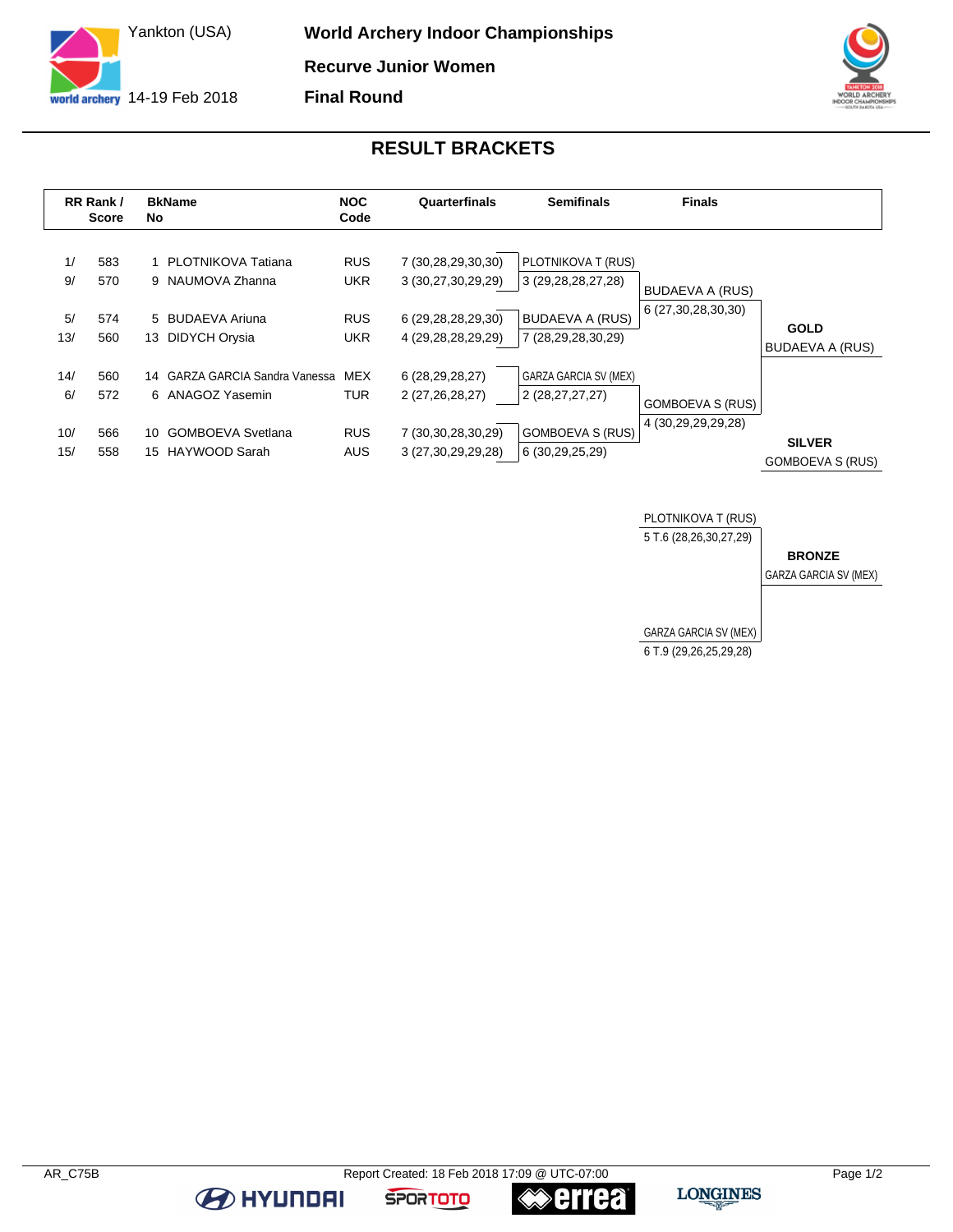

**World Archery Indoor Championships Recurve Junior Women Final Round**



## **RESULT BRACKETS**

|                         | RR Rank /<br><b>Score</b> | <b>BkName</b><br><b>No</b> |                                                                                                 | <b>NOC</b><br>Code                                   | Quarterfinals                                                                        | <b>Semifinals</b>                                                                             | <b>Finals</b>                                 |                                          |
|-------------------------|---------------------------|----------------------------|-------------------------------------------------------------------------------------------------|------------------------------------------------------|--------------------------------------------------------------------------------------|-----------------------------------------------------------------------------------------------|-----------------------------------------------|------------------------------------------|
| 1/<br>9/<br>5/<br>13/   | 583<br>570<br>574<br>560  | 13                         | 1 PLOTNIKOVA Tatiana<br>9 NAUMOVA Zhanna<br>5 BUDAEVA Ariuna<br>DIDYCH Orysia                   | <b>RUS</b><br><b>UKR</b><br><b>RUS</b><br><b>UKR</b> | 7 (30,28,29,30,30)<br>3 (30,27,30,29,29)<br>6 (29,28,28,29,30)<br>4 (29,28,28,29,29) | PLOTNIKOVA T (RUS)<br>3 (29, 28, 28, 27, 28)<br><b>BUDAEVA A (RUS)</b><br>7 (28,29,28,30,29)  | <b>BUDAEVA A (RUS)</b><br>6 (27,30,28,30,30)  | <b>GOLD</b><br><b>BUDAEVA A (RUS)</b>    |
| 14/<br>6/<br>10/<br>15/ | 560<br>572<br>566<br>558  | 10<br>15                   | 14 GARZA GARCIA Sandra Vanessa<br>6 ANAGOZ Yasemin<br><b>GOMBOEVA Svetlana</b><br>HAYWOOD Sarah | <b>MEX</b><br><b>TUR</b><br><b>RUS</b><br><b>AUS</b> | 6 (28,29,28,27)<br>2 (27,26,28,27)<br>7 (30,30,28,30,29)<br>3 (27, 30, 29, 29, 28)   | <b>GARZA GARCIA SV (MEX)</b><br>2 (28,27,27,27)<br><b>GOMBOEVA S (RUS)</b><br>6 (30,29,25,29) | <b>GOMBOEVA S (RUS)</b><br>4 (30,29,29,29,28) | <b>SILVER</b><br><b>GOMBOEVA S (RUS)</b> |



**BE HYUNDAI** 

**errea** 

**SPORTOTO**